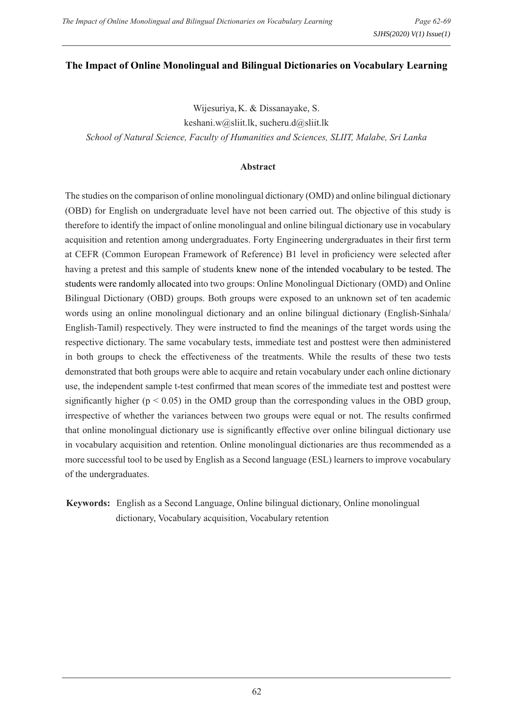#### **The Impact of Online Monolingual and Bilingual Dictionaries on Vocabulary Learning**

Wijesuriya, K. & Dissanayake, S. keshani.w@sliit.lk, sucheru.d@sliit.lk *School of Natural Science, Faculty of Humanities and Sciences, SLIIT, Malabe, Sri Lanka*

#### **Abstract**

The studies on the comparison of online monolingual dictionary (OMD) and online bilingual dictionary (OBD) for English on undergraduate level have not been carried out. The objective of this study is therefore to identify the impact of online monolingual and online bilingual dictionary use in vocabulary acquisition and retention among undergraduates. Forty Engineering undergraduates in their first term at CEFR (Common European Framework of Reference) B1 level in proficiency were selected after having a pretest and this sample of students knew none of the intended vocabulary to be tested. The students were randomly allocated into two groups: Online Monolingual Dictionary (OMD) and Online Bilingual Dictionary (OBD) groups. Both groups were exposed to an unknown set of ten academic words using an online monolingual dictionary and an online bilingual dictionary (English-Sinhala/ English-Tamil) respectively. They were instructed to find the meanings of the target words using the respective dictionary. The same vocabulary tests, immediate test and posttest were then administered in both groups to check the effectiveness of the treatments. While the results of these two tests demonstrated that both groups were able to acquire and retain vocabulary under each online dictionary use, the independent sample t-test confirmed that mean scores of the immediate test and posttest were significantly higher ( $p < 0.05$ ) in the OMD group than the corresponding values in the OBD group, irrespective of whether the variances between two groups were equal or not. The results confirmed that online monolingual dictionary use is significantly effective over online bilingual dictionary use in vocabulary acquisition and retention. Online monolingual dictionaries are thus recommended as a more successful tool to be used by English as a Second language (ESL) learners to improve vocabulary of the undergraduates.

**Keywords:** English as a Second Language, Online bilingual dictionary, Online monolingual dictionary, Vocabulary acquisition, Vocabulary retention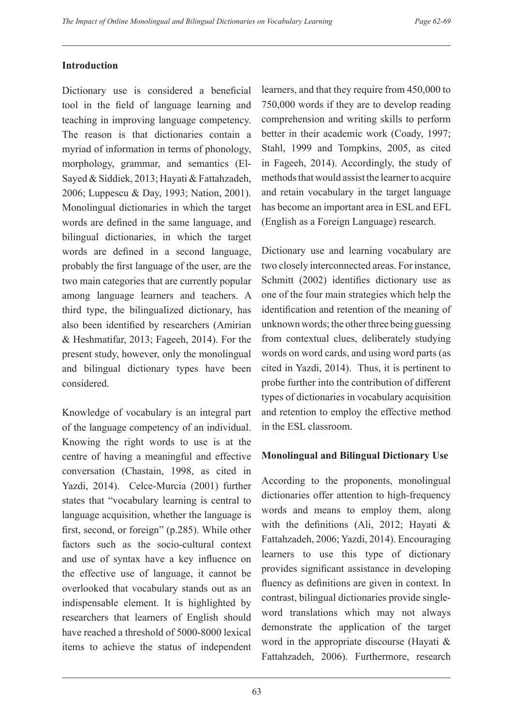#### **Introduction**

Dictionary use is considered a beneficial tool in the field of language learning and teaching in improving language competency. The reason is that dictionaries contain a myriad of information in terms of phonology, morphology, grammar, and semantics (El-Sayed & Siddiek, 2013; Hayati & Fattahzadeh, 2006; Luppescu & Day, 1993; Nation, 2001). Monolingual dictionaries in which the target words are defined in the same language, and bilingual dictionaries, in which the target words are defined in a second language, probably the first language of the user, are the two main categories that are currently popular among language learners and teachers. A third type, the bilingualized dictionary, has also been identified by researchers (Amirian & Heshmatifar, 2013; Fageeh, 2014). For the present study, however, only the monolingual and bilingual dictionary types have been considered.

Knowledge of vocabulary is an integral part of the language competency of an individual. Knowing the right words to use is at the centre of having a meaningful and effective conversation (Chastain, 1998, as cited in Yazdi, 2014). Celce-Murcia (2001) further states that "vocabulary learning is central to language acquisition, whether the language is first, second, or foreign" (p.285). While other factors such as the socio-cultural context and use of syntax have a key influence on the effective use of language, it cannot be overlooked that vocabulary stands out as an indispensable element. It is highlighted by researchers that learners of English should have reached a threshold of 5000-8000 lexical items to achieve the status of independent learners, and that they require from 450,000 to 750,000 words if they are to develop reading comprehension and writing skills to perform better in their academic work (Coady, 1997; Stahl, 1999 and Tompkins, 2005, as cited in Fageeh, 2014). Accordingly, the study of methods that would assist the learner to acquire and retain vocabulary in the target language has become an important area in ESL and EFL (English as a Foreign Language) research.

Dictionary use and learning vocabulary are two closely interconnected areas. For instance, Schmitt (2002) identifies dictionary use as one of the four main strategies which help the identification and retention of the meaning of unknown words; the other three being guessing from contextual clues, deliberately studying words on word cards, and using word parts (as cited in Yazdi, 2014). Thus, it is pertinent to probe further into the contribution of different types of dictionaries in vocabulary acquisition and retention to employ the effective method in the ESL classroom.

### **Monolingual and Bilingual Dictionary Use**

According to the proponents, monolingual dictionaries offer attention to high-frequency words and means to employ them, along with the definitions (Ali, 2012; Hayati & Fattahzadeh, 2006; Yazdi, 2014). Encouraging learners to use this type of dictionary provides significant assistance in developing fluency as definitions are given in context. In contrast, bilingual dictionaries provide singleword translations which may not always demonstrate the application of the target word in the appropriate discourse (Hayati & Fattahzadeh, 2006). Furthermore, research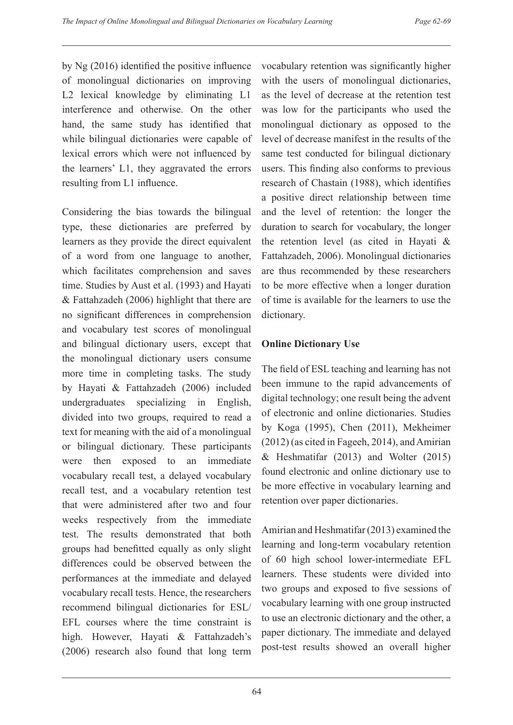by Ng (2016) identified the positive influence of monolingual dictionaries on improving L2 lexical knowledge by eliminating L1 interference and otherwise. On the other hand, the same study has identified that while bilingual dictionaries were capable of lexical errors which were not influenced by the learners' L1, they aggravated the errors resulting from L1 influence.

Considering the bias towards the bilingual type, these dictionaries are preferred by learners as they provide the direct equivalent of a word from one language to another, which facilitates comprehension and saves time. Studies by Aust et al. (1993) and Hayati & Fattahzadeh (2006) highlight that there are no significant differences in comprehension and vocabulary test scores of monolingual and bilingual dictionary users, except that the monolingual dictionary users consume more time in completing tasks. The study by Hayati & Fattahzadeh (2006) included undergraduates specializing in English, divided into two groups, required to read a text for meaning with the aid of a monolingual or bilingual dictionary. These participants were then exposed to an immediate vocabulary recall test, a delayed vocabulary recall test, and a vocabulary retention test that were administered after two and four weeks respectively from the immediate test. The results demonstrated that both groups had benefitted equally as only slight differences could be observed between the performances at the immediate and delayed vocabulary recall tests. Hence, the researchers recommend bilingual dictionaries for ESL/ EFL courses where the time constraint is high. However, Hayati & Fattahzadeh's (2006) research also found that long term

vocabulary retention was significantly higher with the users of monolingual dictionaries, as the level of decrease at the retention test was low for the participants who used the monolingual dictionary as opposed to the level of decrease manifest in the results of the same test conducted for bilingual dictionary users. This finding also conforms to previous research of Chastain (1988), which identifies a positive direct relationship between time and the level of retention: the longer the duration to search for vocabulary, the longer the retention level (as cited in Hayati & Fattahzadeh, 2006). Monolingual dictionaries are thus recommended by these researchers to be more effective when a longer duration of time is available for the learners to use the dictionary.

### **Online Dictionary Use**

The field of ESL teaching and learning has not been immune to the rapid advancements of digital technology; one result being the advent of electronic and online dictionaries. Studies by Koga (1995), Chen (2011), Mekheimer (2012) (as cited in Fageeh, 2014), and Amirian & Heshmatifar (2013) and Wolter (2015) found electronic and online dictionary use to be more effective in vocabulary learning and retention over paper dictionaries.

Amirian and Heshmatifar (2013) examined the learning and long-term vocabulary retention of 60 high school lower-intermediate EFL learners. These students were divided into two groups and exposed to five sessions of vocabulary learning with one group instructed to use an electronic dictionary and the other, a paper dictionary. The immediate and delayed post-test results showed an overall higher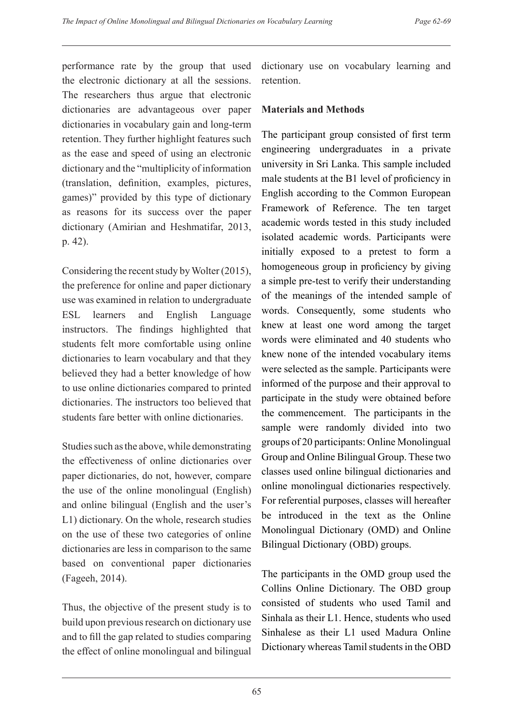performance rate by the group that used the electronic dictionary at all the sessions. The researchers thus argue that electronic dictionaries are advantageous over paper dictionaries in vocabulary gain and long-term retention. They further highlight features such as the ease and speed of using an electronic dictionary and the "multiplicity of information (translation, definition, examples, pictures, games)" provided by this type of dictionary as reasons for its success over the paper dictionary (Amirian and Heshmatifar, 2013, p. 42).

Considering the recent study by Wolter (2015), the preference for online and paper dictionary use was examined in relation to undergraduate ESL learners and English Language instructors. The findings highlighted that students felt more comfortable using online dictionaries to learn vocabulary and that they believed they had a better knowledge of how to use online dictionaries compared to printed dictionaries. The instructors too believed that students fare better with online dictionaries.

Studies such as the above, while demonstrating the effectiveness of online dictionaries over paper dictionaries, do not, however, compare the use of the online monolingual (English) and online bilingual (English and the user's L1) dictionary. On the whole, research studies on the use of these two categories of online dictionaries are less in comparison to the same based on conventional paper dictionaries (Fageeh, 2014).

Thus, the objective of the present study is to build upon previous research on dictionary use and to fill the gap related to studies comparing the effect of online monolingual and bilingual dictionary use on vocabulary learning and retention.

## **Materials and Methods**

The participant group consisted of first term engineering undergraduates in a private university in Sri Lanka. This sample included male students at the B1 level of proficiency in English according to the Common European Framework of Reference. The ten target academic words tested in this study included isolated academic words. Participants were initially exposed to a pretest to form a homogeneous group in proficiency by giving a simple pre-test to verify their understanding of the meanings of the intended sample of words. Consequently, some students who knew at least one word among the target words were eliminated and 40 students who knew none of the intended vocabulary items were selected as the sample. Participants were informed of the purpose and their approval to participate in the study were obtained before the commencement. The participants in the sample were randomly divided into two groups of 20 participants: Online Monolingual Group and Online Bilingual Group. These two classes used online bilingual dictionaries and online monolingual dictionaries respectively. For referential purposes, classes will hereafter be introduced in the text as the Online Monolingual Dictionary (OMD) and Online Bilingual Dictionary (OBD) groups.

The participants in the OMD group used the Collins Online Dictionary. The OBD group consisted of students who used Tamil and Sinhala as their L1. Hence, students who used Sinhalese as their L1 used Madura Online Dictionary whereas Tamil students in the OBD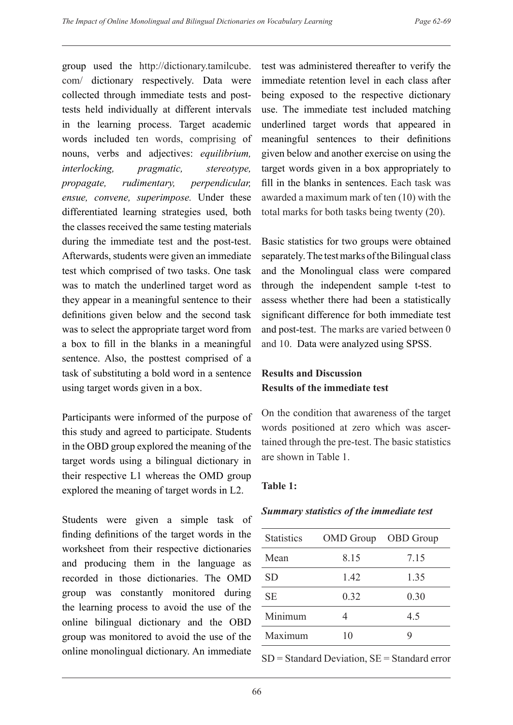group used the http://dictionary.tamilcube. com/ dictionary respectively. Data were collected through immediate tests and posttests held individually at different intervals in the learning process. Target academic words included ten words, comprising of nouns, verbs and adjectives: *equilibrium, interlocking, pragmatic, stereotype, propagate, rudimentary, perpendicular, ensue, convene, superimpose.* Under these differentiated learning strategies used, both the classes received the same testing materials during the immediate test and the post-test. Afterwards, students were given an immediate test which comprised of two tasks. One task was to match the underlined target word as they appear in a meaningful sentence to their definitions given below and the second task was to select the appropriate target word from a box to fill in the blanks in a meaningful sentence. Also, the posttest comprised of a task of substituting a bold word in a sentence using target words given in a box.

Participants were informed of the purpose of this study and agreed to participate. Students in the OBD group explored the meaning of the target words using a bilingual dictionary in their respective L1 whereas the OMD group explored the meaning of target words in L2.

Students were given a simple task of finding definitions of the target words in the worksheet from their respective dictionaries and producing them in the language as recorded in those dictionaries. The OMD group was constantly monitored during the learning process to avoid the use of the online bilingual dictionary and the OBD group was monitored to avoid the use of the online monolingual dictionary. An immediate

test was administered thereafter to verify the immediate retention level in each class after being exposed to the respective dictionary use. The immediate test included matching underlined target words that appeared in meaningful sentences to their definitions given below and another exercise on using the target words given in a box appropriately to fill in the blanks in sentences. Each task was awarded a maximum mark of ten (10) with the total marks for both tasks being twenty (20).

Basic statistics for two groups were obtained separately. The test marks of the Bilingual class and the Monolingual class were compared through the independent sample t-test to assess whether there had been a statistically significant difference for both immediate test and post-test. The marks are varied between 0 and 10. Data were analyzed using SPSS.

# **Results and Discussion Results of the immediate test**

On the condition that awareness of the target words positioned at zero which was ascertained through the pre-test. The basic statistics are shown in Table 1.

### **Table 1:**

### *Summary statistics of the immediate test*

| <b>Statistics</b> | <b>OMD</b> Group | <b>OBD</b> Group |
|-------------------|------------------|------------------|
| Mean              | 8.15             | 7.15             |
| SD                | 1.42             | 1.35             |
| <b>SE</b>         | 0.32             | 0.30             |
| Minimum           |                  | 45               |
| Maximum           | 10               |                  |

 $SD = Standard Deviation, SE = Standard error$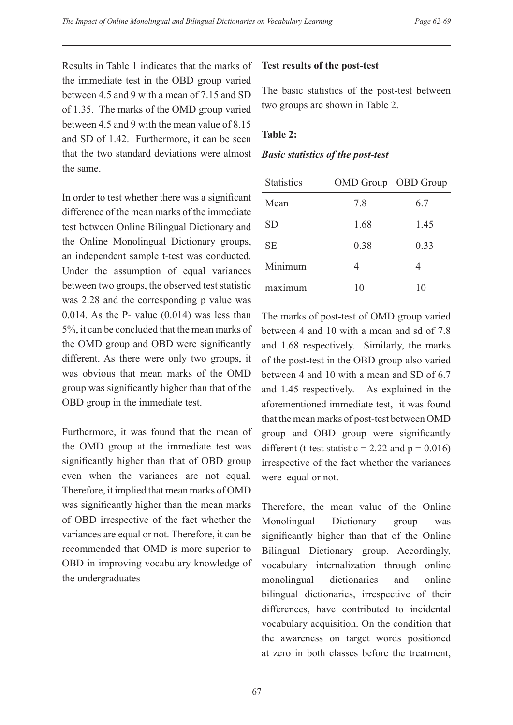Results in Table 1 indicates that the marks of the immediate test in the OBD group varied between 4.5 and 9 with a mean of 7.15 and SD of 1.35. The marks of the OMD group varied between 4.5 and 9 with the mean value of 8.15 and SD of 1.42. Furthermore, it can be seen that the two standard deviations were almost the same.

In order to test whether there was a significant difference of the mean marks of the immediate test between Online Bilingual Dictionary and the Online Monolingual Dictionary groups, an independent sample t-test was conducted. Under the assumption of equal variances between two groups, the observed test statistic was 2.28 and the corresponding p value was 0.014. As the P- value (0.014) was less than 5%, it can be concluded that the mean marks of the OMD group and OBD were significantly different. As there were only two groups, it was obvious that mean marks of the OMD group was significantly higher than that of the OBD group in the immediate test.

Furthermore, it was found that the mean of the OMD group at the immediate test was significantly higher than that of OBD group even when the variances are not equal. Therefore, it implied that mean marks of OMD was significantly higher than the mean marks of OBD irrespective of the fact whether the variances are equal or not. Therefore, it can be recommended that OMD is more superior to OBD in improving vocabulary knowledge of the undergraduates

## **Test results of the post-test**

The basic statistics of the post-test between two groups are shown in Table 2.

## **Table 2:**

#### *Basic statistics of the post-test*

| <b>Statistics</b> | OMD Group OBD Group |      |
|-------------------|---------------------|------|
| Mean              | 7.8                 | 6.7  |
| <b>SD</b>         | 1.68                | 1.45 |
| <b>SE</b>         | 0.38                | 0.33 |
| Minimum           |                     |      |
| maximum           | 10                  | 10   |

The marks of post-test of OMD group varied between 4 and 10 with a mean and sd of 7.8 and 1.68 respectively. Similarly, the marks of the post-test in the OBD group also varied between 4 and 10 with a mean and SD of 6.7 and 1.45 respectively. As explained in the aforementioned immediate test, it was found that the mean marks of post-test between OMD group and OBD group were significantly different (t-test statistic = 2.22 and  $p = 0.016$ ) irrespective of the fact whether the variances were equal or not.

Therefore, the mean value of the Online Monolingual Dictionary group was significantly higher than that of the Online Bilingual Dictionary group. Accordingly, vocabulary internalization through online monolingual dictionaries and online bilingual dictionaries, irrespective of their differences, have contributed to incidental vocabulary acquisition. On the condition that the awareness on target words positioned at zero in both classes before the treatment,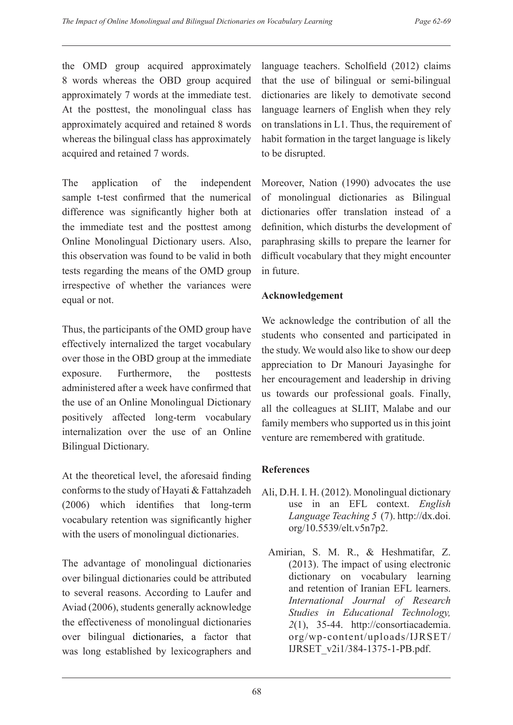the OMD group acquired approximately 8 words whereas the OBD group acquired approximately 7 words at the immediate test. At the posttest, the monolingual class has approximately acquired and retained 8 words whereas the bilingual class has approximately acquired and retained 7 words.

The application of the independent sample t-test confirmed that the numerical difference was significantly higher both at the immediate test and the posttest among Online Monolingual Dictionary users. Also, this observation was found to be valid in both tests regarding the means of the OMD group irrespective of whether the variances were equal or not.

Thus, the participants of the OMD group have effectively internalized the target vocabulary over those in the OBD group at the immediate exposure. Furthermore, the posttests administered after a week have confirmed that the use of an Online Monolingual Dictionary positively affected long-term vocabulary internalization over the use of an Online Bilingual Dictionary.

At the theoretical level, the aforesaid finding conforms to the study of Hayati & Fattahzadeh (2006) which identifies that long-term vocabulary retention was significantly higher with the users of monolingual dictionaries.

The advantage of monolingual dictionaries over bilingual dictionaries could be attributed to several reasons. According to Laufer and Aviad (2006), students generally acknowledge the effectiveness of monolingual dictionaries over bilingual dictionaries, a factor that was long established by lexicographers and language teachers. Scholfield (2012) claims that the use of bilingual or semi-bilingual dictionaries are likely to demotivate second language learners of English when they rely on translations in L1. Thus, the requirement of habit formation in the target language is likely to be disrupted.

Moreover, Nation (1990) advocates the use of monolingual dictionaries as Bilingual dictionaries offer translation instead of a definition, which disturbs the development of paraphrasing skills to prepare the learner for difficult vocabulary that they might encounter in future.

# **Acknowledgement**

We acknowledge the contribution of all the students who consented and participated in the study. We would also like to show our deep appreciation to Dr Manouri Jayasinghe for her encouragement and leadership in driving us towards our professional goals. Finally, all the colleagues at SLIIT, Malabe and our family members who supported us in this joint venture are remembered with gratitude.

# **References**

- Ali, D.H. I. H. (2012). Monolingual dictionary use in an EFL context. *English Language Teaching 5* (7). http://dx.doi. org/10.5539/elt.v5n7p2.
	- Amirian, S. M. R., & Heshmatifar, Z. (2013). The impact of using electronic dictionary on vocabulary learning and retention of Iranian EFL learners. *International Journal of Research Studies in Educational Technology, 2*(1), 35-44. http://consortiacademia. org/wp-content/uploads/IJRSET/ IJRSET\_v2i1/384-1375-1-PB.pdf.